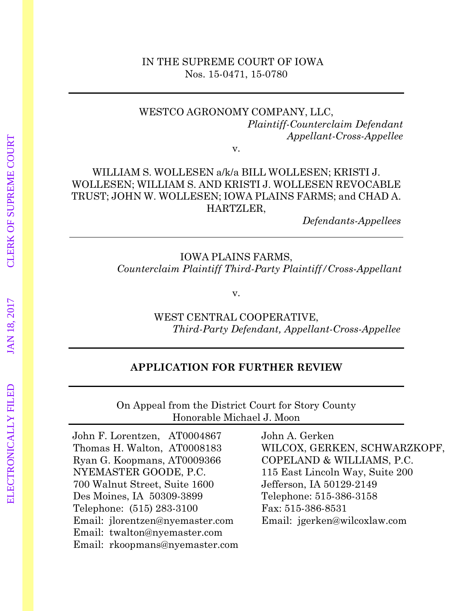#### IN THE SUPREME COURT OF IOWA Nos. 15-0471, 15-0780

#### WESTCO AGRONOMY COMPANY, LLC, *Plaintiff-Counterclaim Defendant Appellant-Cross-Appellee*

v.

### WILLIAM S. WOLLESEN a/k/a BILL WOLLESEN; KRISTI J. WOLLESEN; WILLIAM S. AND KRISTI J. WOLLESEN REVOCABLE TRUST; JOHN W. WOLLESEN; IOWA PLAINS FARMS; and CHAD A. HARTZLER,

 *Defendants-Appellees*

#### IOWA PLAINS FARMS,  *Counterclaim Plaintiff Third-Party Plaintiff/Cross-Appellant*

v.

WEST CENTRAL COOPERATIVE,  *Third-Party Defendant, Appellant-Cross-Appellee*

#### **APPLICATION FOR FURTHER REVIEW**

On Appeal from the District Court for Story County Honorable Michael J. Moon

John F. Lorentzen, AT0004867 Thomas H. Walton, AT0008183 Ryan G. Koopmans, AT0009366 NYEMASTER GOODE, P.C. 700 Walnut Street, Suite 1600 Des Moines, IA 50309-3899 Telephone: (515) 283-3100 Email: jlorentzen@nyemaster.com Email: twalton@nyemaster.com Email: rkoopmans@nyemaster.com John A. Gerken WILCOX, GERKEN, SCHWARZKOPF, COPELAND & WILLIAMS, P.C. 115 East Lincoln Way, Suite 200 Jefferson, IA 50129-2149 Telephone: 515-386-3158 Fax: 515-386-8531 Email: jgerken@wilcoxlaw.com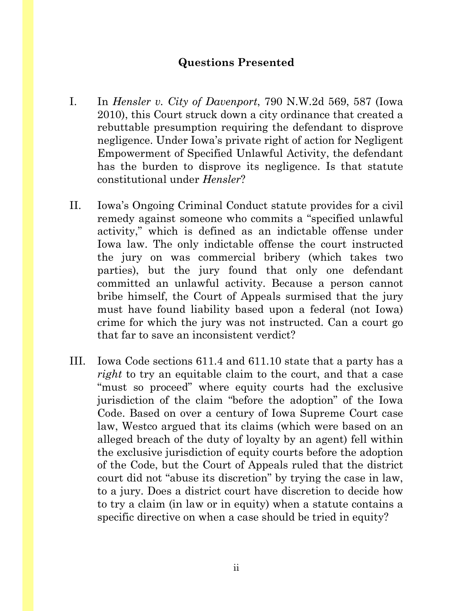## **Questions Presented**

- <span id="page-1-0"></span>I. In *Hensler v. City of Davenport*, 790 N.W.2d 569, 587 (Iowa 2010), this Court struck down a city ordinance that created a rebuttable presumption requiring the defendant to disprove negligence. Under Iowa's private right of action for Negligent Empowerment of Specified Unlawful Activity, the defendant has the burden to disprove its negligence. Is that statute constitutional under *Hensler*?
- II. Iowa's Ongoing Criminal Conduct statute provides for a civil remedy against someone who commits a "specified unlawful activity," which is defined as an indictable offense under Iowa law. The only indictable offense the court instructed the jury on was commercial bribery (which takes two parties), but the jury found that only one defendant committed an unlawful activity. Because a person cannot bribe himself, the Court of Appeals surmised that the jury must have found liability based upon a federal (not Iowa) crime for which the jury was not instructed. Can a court go that far to save an inconsistent verdict?
- III. Iowa Code sections 611.4 and 611.10 state that a party has a *right* to try an equitable claim to the court, and that a case "must so proceed" where equity courts had the exclusive jurisdiction of the claim "before the adoption" of the Iowa Code. Based on over a century of Iowa Supreme Court case law, Westco argued that its claims (which were based on an alleged breach of the duty of loyalty by an agent) fell within the exclusive jurisdiction of equity courts before the adoption of the Code, but the Court of Appeals ruled that the district court did not "abuse its discretion" by trying the case in law, to a jury. Does a district court have discretion to decide how to try a claim (in law or in equity) when a statute contains a specific directive on when a case should be tried in equity?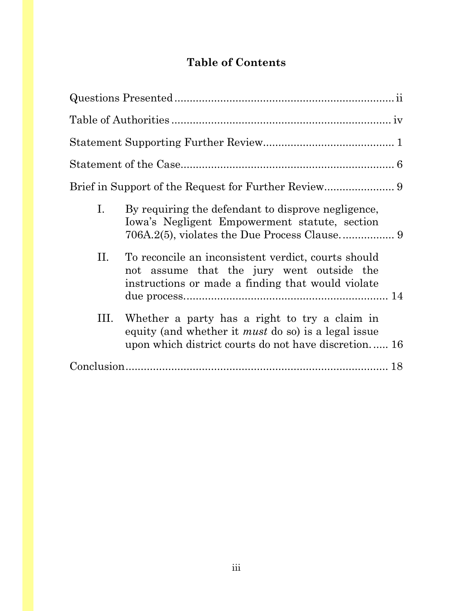# **Table of Contents**

| Ι.<br>By requiring the defendant to disprove negligence,<br>Iowa's Negligent Empowerment statute, section                                                                 |  |
|---------------------------------------------------------------------------------------------------------------------------------------------------------------------------|--|
| П.<br>To reconcile an inconsistent verdict, courts should<br>not assume that the jury went outside the<br>instructions or made a finding that would violate               |  |
| Whether a party has a right to try a claim in<br>Ш.<br>equity (and whether it <i>must</i> do so) is a legal issue<br>upon which district courts do not have discretion 16 |  |
|                                                                                                                                                                           |  |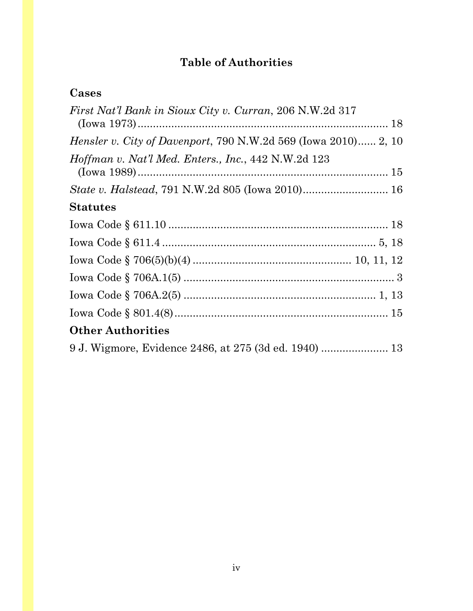# **Table of Authorities**

## <span id="page-3-0"></span>**Cases**

| <i>First Nat'l Bank in Sioux City v. Curran, 206 N.W.2d 317</i>       |
|-----------------------------------------------------------------------|
| <i>Hensler v. City of Davenport, 790 N.W.2d 569 (Iowa 2010) 2, 10</i> |
| Hoffman v. Nat'l Med. Enters., Inc., 442 N.W.2d 123                   |
|                                                                       |
| <b>Statutes</b>                                                       |
|                                                                       |
|                                                                       |
|                                                                       |
|                                                                       |
|                                                                       |
|                                                                       |
| <b>Other Authorities</b>                                              |
|                                                                       |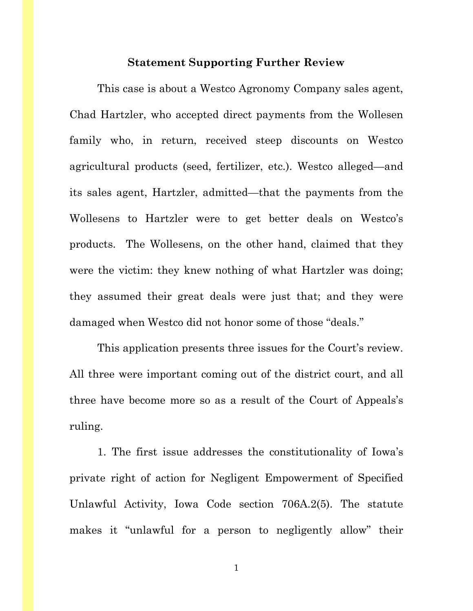#### **Statement Supporting Further Review**

<span id="page-4-0"></span>This case is about a Westco Agronomy Company sales agent, Chad Hartzler, who accepted direct payments from the Wollesen family who, in return, received steep discounts on Westco agricultural products (seed, fertilizer, etc.). Westco alleged—and its sales agent, Hartzler, admitted—that the payments from the Wollesens to Hartzler were to get better deals on Westco's products. The Wollesens, on the other hand, claimed that they were the victim: they knew nothing of what Hartzler was doing; they assumed their great deals were just that; and they were damaged when Westco did not honor some of those "deals."

This application presents three issues for the Court's review. All three were important coming out of the district court, and all three have become more so as a result of the Court of Appeals's ruling.

1. The first issue addresses the constitutionality of Iowa's private right of action for Negligent Empowerment of Specified Unlawful Activity, Iowa Code section 706A.2(5). The statute makes it "unlawful for a person to negligently allow" their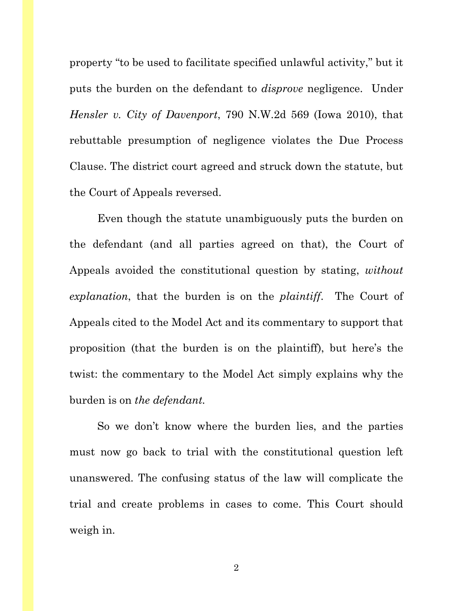property "to be used to facilitate specified unlawful activity," but it puts the burden on the defendant to *disprove* negligence. Under *Hensler v. City of Davenport*, 790 N.W.2d 569 (Iowa 2010), that rebuttable presumption of negligence violates the Due Process Clause. The district court agreed and struck down the statute, but the Court of Appeals reversed.

Even though the statute unambiguously puts the burden on the defendant (and all parties agreed on that), the Court of Appeals avoided the constitutional question by stating, *without explanation*, that the burden is on the *plaintiff*. The Court of Appeals cited to the Model Act and its commentary to support that proposition (that the burden is on the plaintiff), but here's the twist: the commentary to the Model Act simply explains why the burden is on *the defendant.* 

So we don't know where the burden lies, and the parties must now go back to trial with the constitutional question left unanswered. The confusing status of the law will complicate the trial and create problems in cases to come. This Court should weigh in.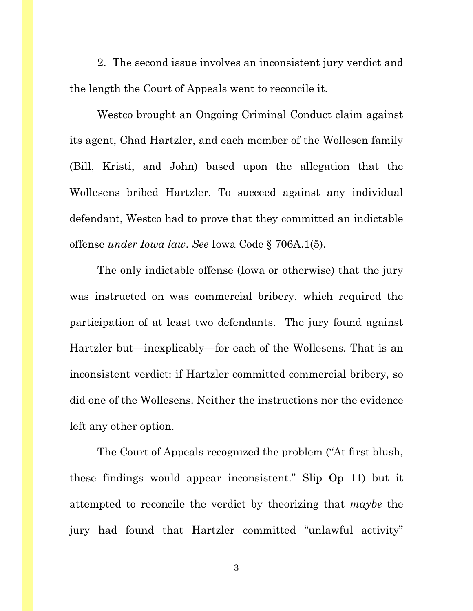2. The second issue involves an inconsistent jury verdict and the length the Court of Appeals went to reconcile it.

Westco brought an Ongoing Criminal Conduct claim against its agent, Chad Hartzler, and each member of the Wollesen family (Bill, Kristi, and John) based upon the allegation that the Wollesens bribed Hartzler. To succeed against any individual defendant, Westco had to prove that they committed an indictable offense *under Iowa law*. *See* Iowa Code § 706A.1(5).

The only indictable offense (Iowa or otherwise) that the jury was instructed on was commercial bribery, which required the participation of at least two defendants. The jury found against Hartzler but—inexplicably—for each of the Wollesens. That is an inconsistent verdict: if Hartzler committed commercial bribery, so did one of the Wollesens. Neither the instructions nor the evidence left any other option.

The Court of Appeals recognized the problem ("At first blush, these findings would appear inconsistent." Slip Op 11) but it attempted to reconcile the verdict by theorizing that *maybe* the jury had found that Hartzler committed "unlawful activity"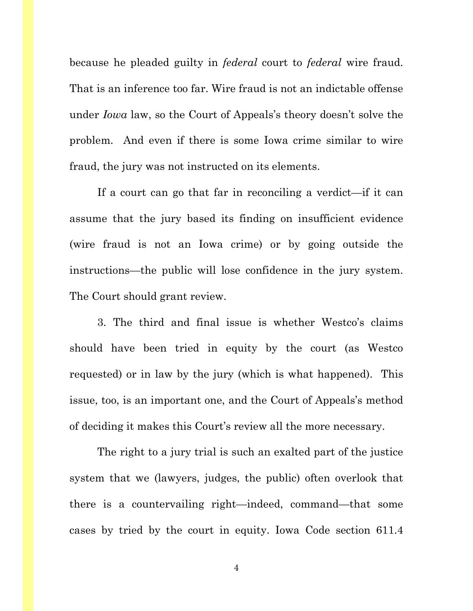because he pleaded guilty in *federal* court to *federal* wire fraud. That is an inference too far. Wire fraud is not an indictable offense under *Iowa* law, so the Court of Appeals's theory doesn't solve the problem. And even if there is some Iowa crime similar to wire fraud, the jury was not instructed on its elements.

If a court can go that far in reconciling a verdict—if it can assume that the jury based its finding on insufficient evidence (wire fraud is not an Iowa crime) or by going outside the instructions—the public will lose confidence in the jury system. The Court should grant review.

3. The third and final issue is whether Westco's claims should have been tried in equity by the court (as Westco requested) or in law by the jury (which is what happened). This issue, too, is an important one, and the Court of Appeals's method of deciding it makes this Court's review all the more necessary.

The right to a jury trial is such an exalted part of the justice system that we (lawyers, judges, the public) often overlook that there is a countervailing right—indeed, command—that some cases by tried by the court in equity. Iowa Code section 611.4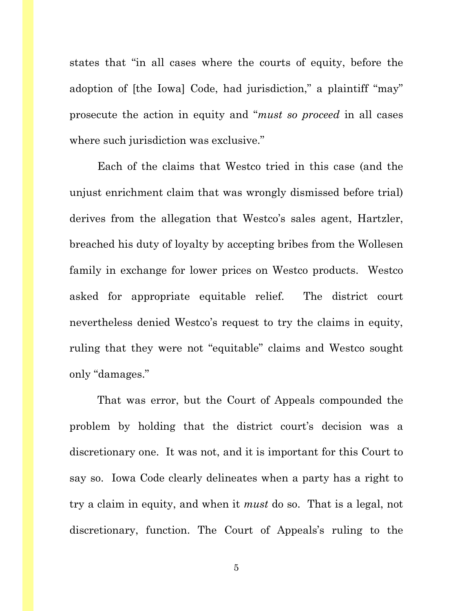states that "in all cases where the courts of equity, before the adoption of [the Iowa] Code, had jurisdiction," a plaintiff "may" prosecute the action in equity and "*must so proceed* in all cases where such jurisdiction was exclusive."

Each of the claims that Westco tried in this case (and the unjust enrichment claim that was wrongly dismissed before trial) derives from the allegation that Westco's sales agent, Hartzler, breached his duty of loyalty by accepting bribes from the Wollesen family in exchange for lower prices on Westco products. Westco asked for appropriate equitable relief. The district court nevertheless denied Westco's request to try the claims in equity, ruling that they were not "equitable" claims and Westco sought only "damages."

That was error, but the Court of Appeals compounded the problem by holding that the district court's decision was a discretionary one. It was not, and it is important for this Court to say so. Iowa Code clearly delineates when a party has a right to try a claim in equity, and when it *must* do so. That is a legal, not discretionary, function. The Court of Appeals's ruling to the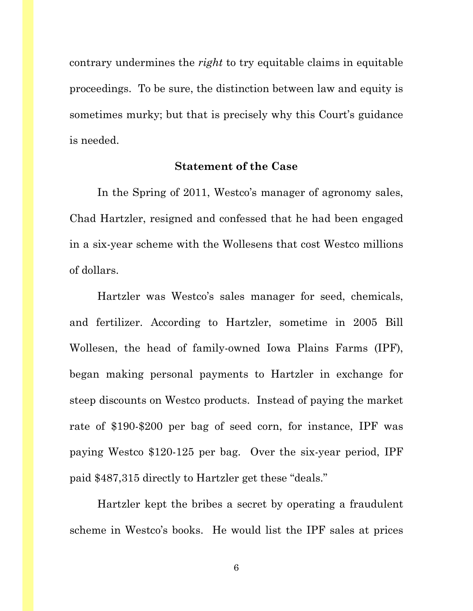contrary undermines the *right* to try equitable claims in equitable proceedings. To be sure, the distinction between law and equity is sometimes murky; but that is precisely why this Court's guidance is needed.

### **Statement of the Case**

<span id="page-9-0"></span>In the Spring of 2011, Westco's manager of agronomy sales, Chad Hartzler, resigned and confessed that he had been engaged in a six-year scheme with the Wollesens that cost Westco millions of dollars.

Hartzler was Westco's sales manager for seed, chemicals, and fertilizer. According to Hartzler, sometime in 2005 Bill Wollesen, the head of family-owned Iowa Plains Farms (IPF), began making personal payments to Hartzler in exchange for steep discounts on Westco products. Instead of paying the market rate of \$190-\$200 per bag of seed corn, for instance, IPF was paying Westco \$120-125 per bag. Over the six-year period, IPF paid \$487,315 directly to Hartzler get these "deals."

Hartzler kept the bribes a secret by operating a fraudulent scheme in Westco's books. He would list the IPF sales at prices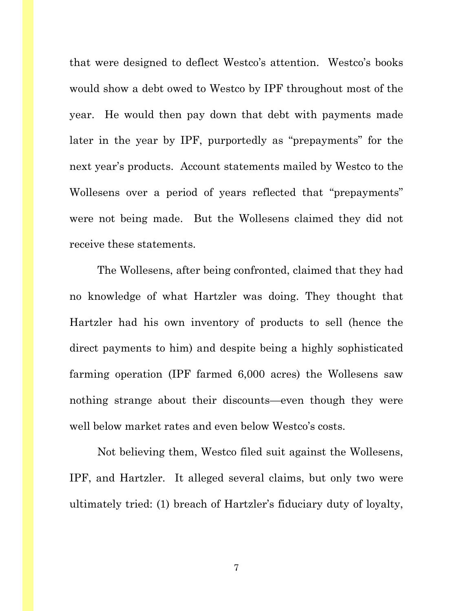that were designed to deflect Westco's attention. Westco's books would show a debt owed to Westco by IPF throughout most of the year. He would then pay down that debt with payments made later in the year by IPF, purportedly as "prepayments" for the next year's products. Account statements mailed by Westco to the Wollesens over a period of years reflected that "prepayments" were not being made. But the Wollesens claimed they did not receive these statements.

The Wollesens, after being confronted, claimed that they had no knowledge of what Hartzler was doing. They thought that Hartzler had his own inventory of products to sell (hence the direct payments to him) and despite being a highly sophisticated farming operation (IPF farmed 6,000 acres) the Wollesens saw nothing strange about their discounts—even though they were well below market rates and even below Westco's costs.

Not believing them, Westco filed suit against the Wollesens, IPF, and Hartzler. It alleged several claims, but only two were ultimately tried: (1) breach of Hartzler's fiduciary duty of loyalty,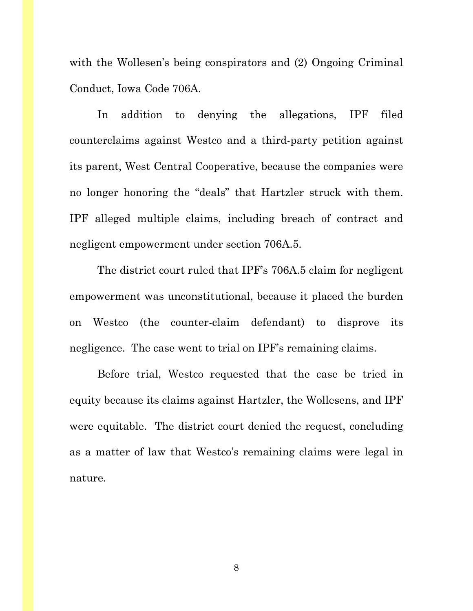with the Wollesen's being conspirators and (2) Ongoing Criminal Conduct, Iowa Code 706A.

In addition to denying the allegations, IPF filed counterclaims against Westco and a third-party petition against its parent, West Central Cooperative, because the companies were no longer honoring the "deals" that Hartzler struck with them. IPF alleged multiple claims, including breach of contract and negligent empowerment under section 706A.5.

The district court ruled that IPF's 706A.5 claim for negligent empowerment was unconstitutional, because it placed the burden on Westco (the counter-claim defendant) to disprove its negligence. The case went to trial on IPF's remaining claims.

Before trial, Westco requested that the case be tried in equity because its claims against Hartzler, the Wollesens, and IPF were equitable. The district court denied the request, concluding as a matter of law that Westco's remaining claims were legal in nature.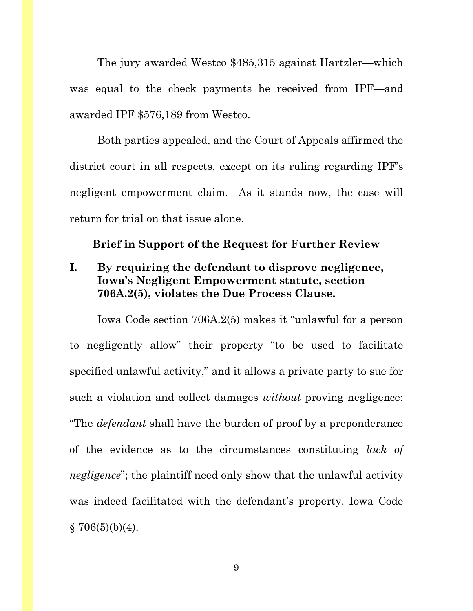The jury awarded Westco \$485,315 against Hartzler—which was equal to the check payments he received from IPF—and awarded IPF \$576,189 from Westco.

Both parties appealed, and the Court of Appeals affirmed the district court in all respects, except on its ruling regarding IPF's negligent empowerment claim. As it stands now, the case will return for trial on that issue alone.

#### <span id="page-12-0"></span>**Brief in Support of the Request for Further Review**

## <span id="page-12-1"></span>**I. By requiring the defendant to disprove negligence, Iowa's Negligent Empowerment statute, section 706A.2(5), violates the Due Process Clause.**

Iowa Code section 706A.2(5) makes it "unlawful for a person to negligently allow" their property "to be used to facilitate specified unlawful activity," and it allows a private party to sue for such a violation and collect damages *without* proving negligence: "The *defendant* shall have the burden of proof by a preponderance of the evidence as to the circumstances constituting *lack of negligence*"; the plaintiff need only show that the unlawful activity was indeed facilitated with the defendant's property. Iowa Code  $$706(5)(b)(4).$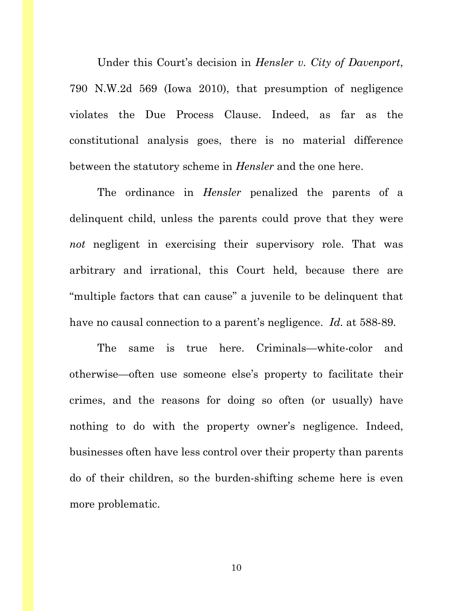Under this Court's decision in *Hensler v. City of Davenport*, 790 N.W.2d 569 (Iowa 2010), that presumption of negligence violates the Due Process Clause. Indeed, as far as the constitutional analysis goes, there is no material difference between the statutory scheme in *Hensler* and the one here.

The ordinance in *Hensler* penalized the parents of a delinquent child, unless the parents could prove that they were *not* negligent in exercising their supervisory role. That was arbitrary and irrational, this Court held, because there are "multiple factors that can cause" a juvenile to be delinquent that have no causal connection to a parent's negligence. *Id.* at 588-89.

The same is true here. Criminals—white-color and otherwise—often use someone else's property to facilitate their crimes, and the reasons for doing so often (or usually) have nothing to do with the property owner's negligence. Indeed, businesses often have less control over their property than parents do of their children, so the burden-shifting scheme here is even more problematic.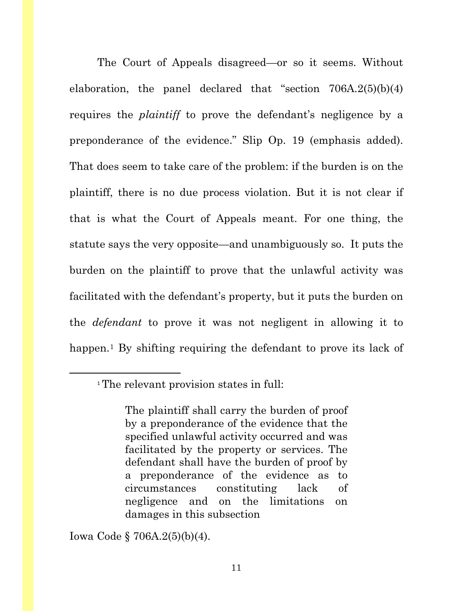The Court of Appeals disagreed—or so it seems. Without elaboration, the panel declared that "section  $706A.2(5)(b)(4)$ requires the *plaintiff* to prove the defendant's negligence by a preponderance of the evidence." Slip Op. 19 (emphasis added). That does seem to take care of the problem: if the burden is on the plaintiff, there is no due process violation. But it is not clear if that is what the Court of Appeals meant. For one thing, the statute says the very opposite—and unambiguously so. It puts the burden on the plaintiff to prove that the unlawful activity was facilitated with the defendant's property, but it puts the burden on the *defendant* to prove it was not negligent in allowing it to happen.<sup>[1](#page-14-0)</sup> By shifting requiring the defendant to prove its lack of

Iowa Code § 706A.2(5)(b)(4).

<span id="page-14-0"></span>l

<sup>1</sup> The relevant provision states in full:

The plaintiff shall carry the burden of proof by a preponderance of the evidence that the specified unlawful activity occurred and was facilitated by the property or services. The defendant shall have the burden of proof by a preponderance of the evidence as to circumstances constituting lack of negligence and on the limitations on damages in this subsection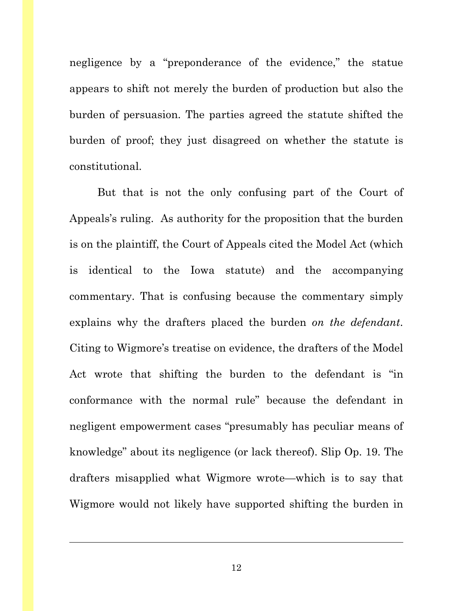negligence by a "preponderance of the evidence," the statue appears to shift not merely the burden of production but also the burden of persuasion. The parties agreed the statute shifted the burden of proof; they just disagreed on whether the statute is constitutional.

But that is not the only confusing part of the Court of Appeals's ruling. As authority for the proposition that the burden is on the plaintiff, the Court of Appeals cited the Model Act (which is identical to the Iowa statute) and the accompanying commentary. That is confusing because the commentary simply explains why the drafters placed the burden *on the defendant*. Citing to Wigmore's treatise on evidence, the drafters of the Model Act wrote that shifting the burden to the defendant is "in conformance with the normal rule" because the defendant in negligent empowerment cases "presumably has peculiar means of knowledge" about its negligence (or lack thereof). Slip Op. 19. The drafters misapplied what Wigmore wrote—which is to say that Wigmore would not likely have supported shifting the burden in

 $\overline{a}$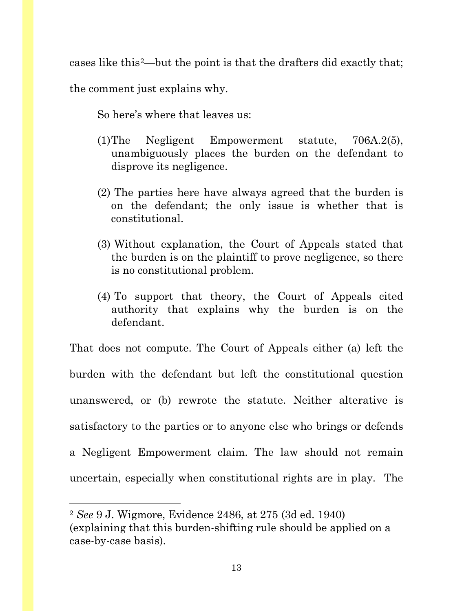cases like this[2—](#page-16-0)but the point is that the drafters did exactly that; the comment just explains why.

So here's where that leaves us:

- (1)The Negligent Empowerment statute, 706A.2(5), unambiguously places the burden on the defendant to disprove its negligence.
- (2) The parties here have always agreed that the burden is on the defendant; the only issue is whether that is constitutional.
- (3) Without explanation, the Court of Appeals stated that the burden is on the plaintiff to prove negligence, so there is no constitutional problem.
- (4) To support that theory, the Court of Appeals cited authority that explains why the burden is on the defendant.

That does not compute. The Court of Appeals either (a) left the burden with the defendant but left the constitutional question unanswered, or (b) rewrote the statute. Neither alterative is satisfactory to the parties or to anyone else who brings or defends a Negligent Empowerment claim. The law should not remain uncertain, especially when constitutional rights are in play. The

l

<span id="page-16-0"></span><sup>2</sup> *See* 9 J. Wigmore, Evidence 2486, at 275 (3d ed. 1940) (explaining that this burden-shifting rule should be applied on a case-by-case basis).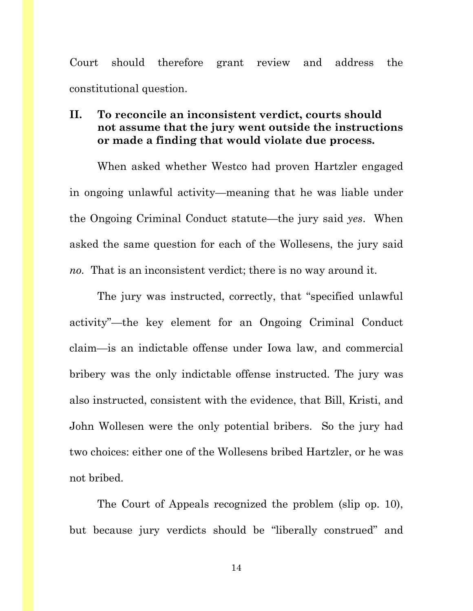Court should therefore grant review and address the constitutional question.

## <span id="page-17-0"></span>**II. To reconcile an inconsistent verdict, courts should not assume that the jury went outside the instructions or made a finding that would violate due process.**

When asked whether Westco had proven Hartzler engaged in ongoing unlawful activity—meaning that he was liable under the Ongoing Criminal Conduct statute—the jury said *yes*. When asked the same question for each of the Wollesens, the jury said *no.* That is an inconsistent verdict; there is no way around it.

The jury was instructed, correctly, that "specified unlawful activity"—the key element for an Ongoing Criminal Conduct claim—is an indictable offense under Iowa law, and commercial bribery was the only indictable offense instructed. The jury was also instructed, consistent with the evidence, that Bill, Kristi, and John Wollesen were the only potential bribers. So the jury had two choices: either one of the Wollesens bribed Hartzler, or he was not bribed.

The Court of Appeals recognized the problem (slip op. 10), but because jury verdicts should be "liberally construed" and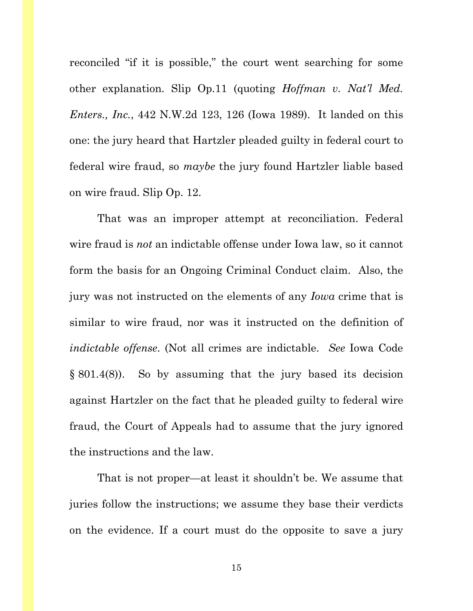reconciled "if it is possible," the court went searching for some other explanation. Slip Op.11 (quoting *Hoffman v. Nat'l Med. Enters., Inc.*, 442 N.W.2d 123, 126 (Iowa 1989). It landed on this one: the jury heard that Hartzler pleaded guilty in federal court to federal wire fraud, so *maybe* the jury found Hartzler liable based on wire fraud. Slip Op. 12.

That was an improper attempt at reconciliation. Federal wire fraud is *not* an indictable offense under Iowa law, so it cannot form the basis for an Ongoing Criminal Conduct claim. Also, the jury was not instructed on the elements of any *Iowa* crime that is similar to wire fraud, nor was it instructed on the definition of *indictable offense*. (Not all crimes are indictable. *See* Iowa Code § 801.4(8)). So by assuming that the jury based its decision against Hartzler on the fact that he pleaded guilty to federal wire fraud, the Court of Appeals had to assume that the jury ignored the instructions and the law.

That is not proper—at least it shouldn't be. We assume that juries follow the instructions; we assume they base their verdicts on the evidence. If a court must do the opposite to save a jury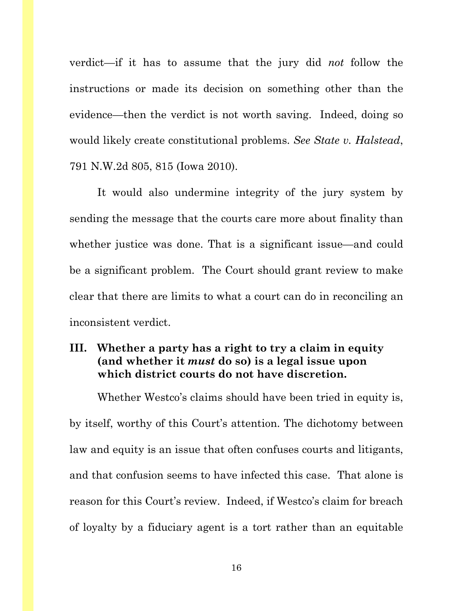verdict—if it has to assume that the jury did *not* follow the instructions or made its decision on something other than the evidence—then the verdict is not worth saving. Indeed, doing so would likely create constitutional problems. *See State v. Halstead*, 791 N.W.2d 805, 815 (Iowa 2010).

It would also undermine integrity of the jury system by sending the message that the courts care more about finality than whether justice was done. That is a significant issue—and could be a significant problem. The Court should grant review to make clear that there are limits to what a court can do in reconciling an inconsistent verdict.

## <span id="page-19-0"></span>**III. Whether a party has a right to try a claim in equity (and whether it** *must* **do so) is a legal issue upon which district courts do not have discretion.**

Whether Westco's claims should have been tried in equity is, by itself, worthy of this Court's attention. The dichotomy between law and equity is an issue that often confuses courts and litigants, and that confusion seems to have infected this case. That alone is reason for this Court's review. Indeed, if Westco's claim for breach of loyalty by a fiduciary agent is a tort rather than an equitable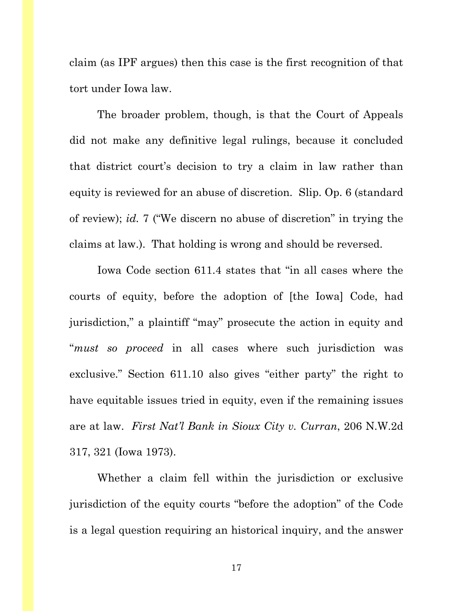claim (as IPF argues) then this case is the first recognition of that tort under Iowa law.

The broader problem, though, is that the Court of Appeals did not make any definitive legal rulings, because it concluded that district court's decision to try a claim in law rather than equity is reviewed for an abuse of discretion. Slip. Op. 6 (standard of review); *id.* 7 ("We discern no abuse of discretion" in trying the claims at law.). That holding is wrong and should be reversed.

Iowa Code section 611.4 states that "in all cases where the courts of equity, before the adoption of [the Iowa] Code, had jurisdiction," a plaintiff "may" prosecute the action in equity and "*must so proceed* in all cases where such jurisdiction was exclusive." Section 611.10 also gives "either party" the right to have equitable issues tried in equity, even if the remaining issues are at law. *First Nat'l Bank in Sioux City v. Curran*, 206 N.W.2d 317, 321 (Iowa 1973).

Whether a claim fell within the jurisdiction or exclusive jurisdiction of the equity courts "before the adoption" of the Code is a legal question requiring an historical inquiry, and the answer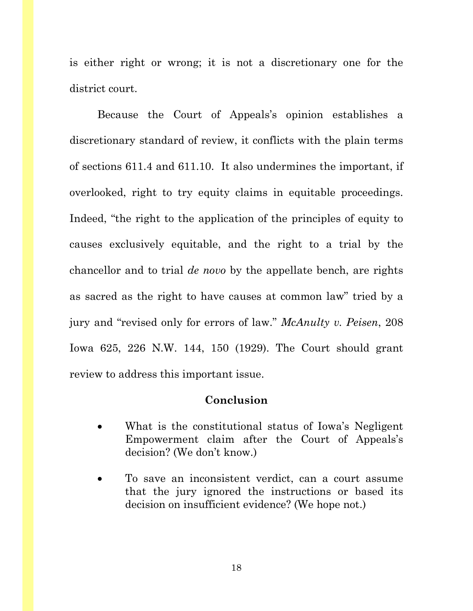is either right or wrong; it is not a discretionary one for the district court.

Because the Court of Appeals's opinion establishes a discretionary standard of review, it conflicts with the plain terms of sections 611.4 and 611.10. It also undermines the important, if overlooked, right to try equity claims in equitable proceedings. Indeed, "the right to the application of the principles of equity to causes exclusively equitable, and the right to a trial by the chancellor and to trial *de novo* by the appellate bench, are rights as sacred as the right to have causes at common law" tried by a jury and "revised only for errors of law." *McAnulty v. Peisen*, 208 Iowa 625, 226 N.W. 144, 150 (1929). The Court should grant review to address this important issue.

#### **Conclusion**

- <span id="page-21-0"></span>What is the constitutional status of Iowa's Negligent Empowerment claim after the Court of Appeals's decision? (We don't know.)
- To save an inconsistent verdict, can a court assume that the jury ignored the instructions or based its decision on insufficient evidence? (We hope not.)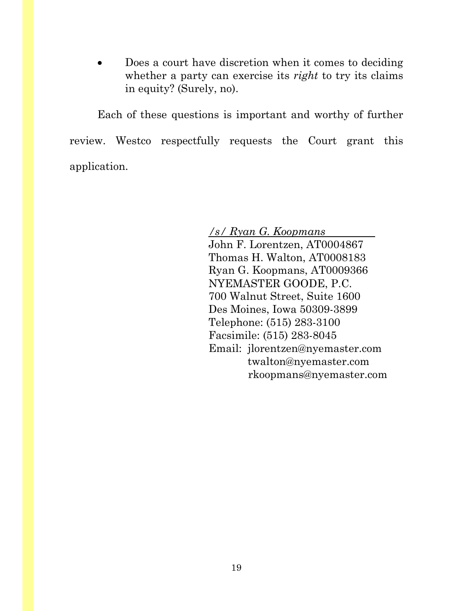Does a court have discretion when it comes to deciding whether a party can exercise its *right* to try its claims in equity? (Surely, no).

Each of these questions is important and worthy of further review. Westco respectfully requests the Court grant this application.

> */s/ Ryan G. Koopmans* John F. Lorentzen, AT0004867 Thomas H. Walton, AT0008183 Ryan G. Koopmans, AT0009366 NYEMASTER GOODE, P.C. 700 Walnut Street, Suite 1600 Des Moines, Iowa 50309-3899 Telephone: (515) 283-3100 Facsimile: (515) 283-8045 Email: jlorentzen@nyemaster.com twalton@nyemaster.com rkoopmans@nyemaster.com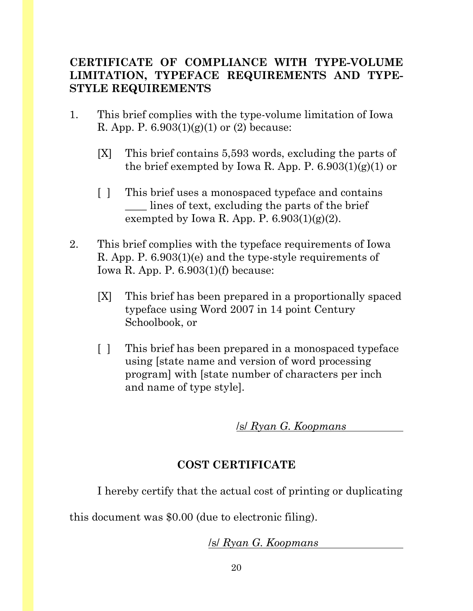## **CERTIFICATE OF COMPLIANCE WITH TYPE-VOLUME LIMITATION, TYPEFACE REQUIREMENTS AND TYPE-STYLE REQUIREMENTS**

- 1. This brief complies with the type-volume limitation of Iowa R. App. P.  $6.903(1)(g)(1)$  or (2) because:
	- [X] This brief contains 5,593 words, excluding the parts of the brief exempted by Iowa R. App. P.  $6.903(1)(g)(1)$  or
	- [ ] This brief uses a monospaced typeface and contains \_\_\_\_ lines of text, excluding the parts of the brief exempted by Iowa R. App. P.  $6.903(1)(g)(2)$ .
- 2. This brief complies with the typeface requirements of Iowa R. App. P. 6.903(1)(e) and the type-style requirements of Iowa R. App. P. 6.903(1)(f) because:
	- [X] This brief has been prepared in a proportionally spaced typeface using Word 2007 in 14 point Century Schoolbook, or
	- [ ] This brief has been prepared in a monospaced typeface using [state name and version of word processing program] with [state number of characters per inch and name of type style].

/s/ *Ryan G. Koopmans*

## **COST CERTIFICATE**

I hereby certify that the actual cost of printing or duplicating

this document was \$0.00 (due to electronic filing).

## /s/ *Ryan G. Koopmans*